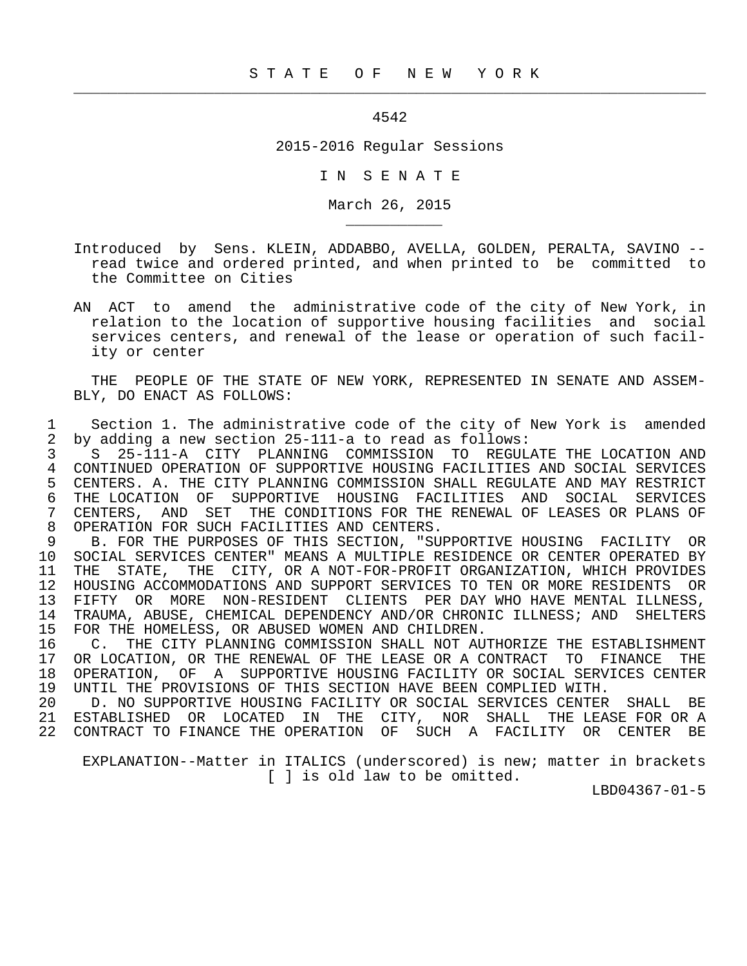## 4542

 $\frac{1}{2}$  , and the contribution of the contribution of the contribution of the contribution of the contribution of the contribution of the contribution of the contribution of the contribution of the contribution of the c

\_\_\_\_\_\_\_\_\_\_\_

## 2015-2016 Regular Sessions

I N S E N A T E

March 26, 2015

- Introduced by Sens. KLEIN, ADDABBO, AVELLA, GOLDEN, PERALTA, SAVINO read twice and ordered printed, and when printed to be committed to the Committee on Cities
- AN ACT to amend the administrative code of the city of New York, in relation to the location of supportive housing facilities and social services centers, and renewal of the lease or operation of such facil ity or center

 THE PEOPLE OF THE STATE OF NEW YORK, REPRESENTED IN SENATE AND ASSEM- BLY, DO ENACT AS FOLLOWS:

 1 Section 1. The administrative code of the city of New York is amended 2 by adding a new section 25-111-a to read as follows:

 3 S 25-111-A CITY PLANNING COMMISSION TO REGULATE THE LOCATION AND 4 CONTINUED OPERATION OF SUPPORTIVE HOUSING FACILITIES AND SOCIAL SERVICES<br>5 CENTERS, A. THE CITY PLANNING COMMISSION SHALL REGULATE AND MAY RESTRICT 5 CENTERS. A. THE CITY PLANNING COMMISSION SHALL REGULATE AND MAY RESTRICT<br>6 THE LOCATION OF SUPPORTIVE HOUSING FACILITIES AND SOCIAL SERVICES 6 THE LOCATION OF SUPPORTIVE HOUSING FACILITIES AND SOCIAL SERVICES<br>7 CENTERS, AND SET THE CONDITIONS FOR THE RENEWAL OF LEASES OR PLANS OF 7 CENTERS, AND SET THE CONDITIONS FOR THE RENEWAL OF LEASES OR PLANS OF 8 OPERATION FOR SUCH FACILITIES AND CENTERS.<br>9 B. FOR THE PURPOSES OF THIS SECTION. "SU

9 B. FOR THE PURPOSES OF THIS SECTION, "SUPPORTIVE HOUSING FACILITY OR<br>10 SOCIAL SERVICES CENTER" MEANS A MULTIPLE RESIDENCE OR CENTER OPERATED BY 10 SOCIAL SERVICES CENTER" MEANS A MULTIPLE RESIDENCE OR CENTER OPERATED BY<br>11 THE STATE, THE CITY, OR A NOT-FOR-PROFIT ORGANIZATION, WHICH PROVIDES THE STATE, THE CITY, OR A NOT-FOR-PROFIT ORGANIZATION, WHICH PROVIDES 12 HOUSING ACCOMMODATIONS AND SUPPORT SERVICES TO TEN OR MORE RESIDENTS OR<br>13 FIFTY OR MORE NON-RESIDENT CLIENTS PER DAY WHO HAVE MENTAL ILLNESS. FIFTY OR MORE NON-RESIDENT CLIENTS PER DAY WHO HAVE MENTAL ILLNESS, 14 TRAUMA, ABUSE, CHEMICAL DEPENDENCY AND/OR CHRONIC ILLNESS; AND SHELTERS<br>15 FOR THE HOMELESS, OR ABUSED WOMEN AND CHILDREN. 15 FOR THE HOMELESS, OR ABUSED WOMEN AND CHILDREN.<br>16 C. THE CITY PLANNING COMMISSION SHALL NOT AU

16 C. THE CITY PLANNING COMMISSION SHALL NOT AUTHORIZE THE ESTABLISHMENT<br>17 OR LOCATION, OR THE RENEWAL OF THE LEASE OR A CONTRACT TO FINANCE THE OR LOCATION, OR THE RENEWAL OF THE LEASE OR A CONTRACT TO FINANCE THE 18 OPERATION, OF A SUPPORTIVE HOUSING FACILITY OR SOCIAL SERVICES CENTER 19 UNTIL THE PROVISIONS OF THIS SECTION HAVE BEEN COMPLIED WITH.<br>20 D. NO SUPPORTIVE HOUSING FACILITY OR SOCIAL SERVICES CENTER

 20 D. NO SUPPORTIVE HOUSING FACILITY OR SOCIAL SERVICES CENTER SHALL BE 21 ESTABLISHED OR LOCATED IN THE CITY, NOR SHALL THE LEASE FOR OR A 22 CONTRACT TO FINANCE THE OPERATION OF SUCH A FACILITY OR CENTER BE

 EXPLANATION--Matter in ITALICS (underscored) is new; matter in brackets [ ] is old law to be omitted.

LBD04367-01-5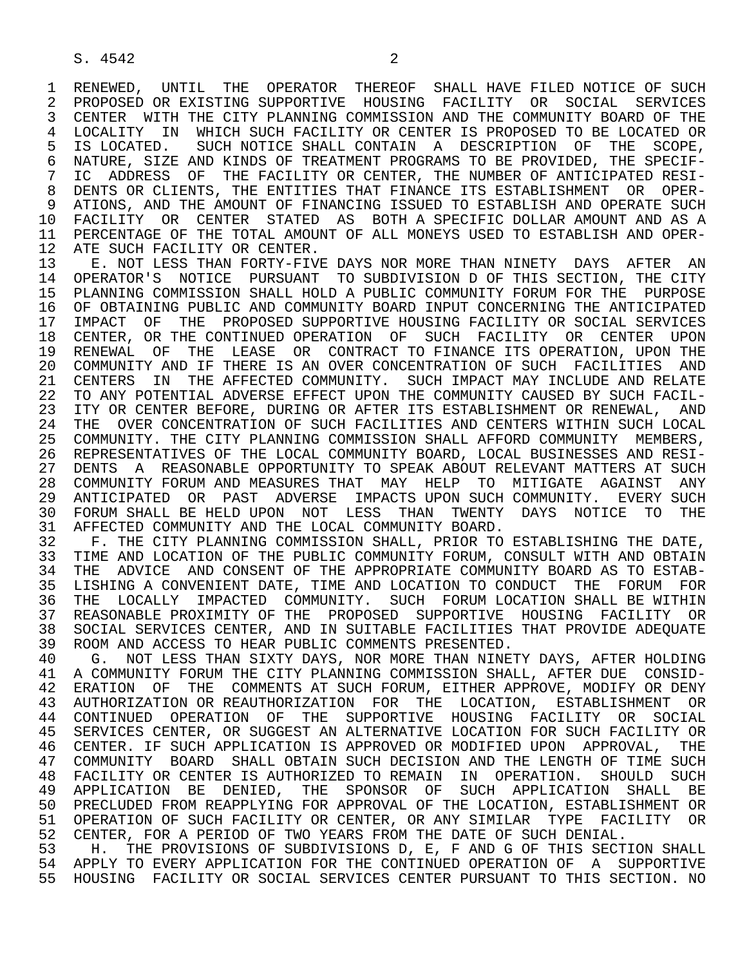1 RENEWED, UNTIL THE OPERATOR THEREOF SHALL HAVE FILED\_NOTICE OF SUCH<br>2 PROPOSED OR EXISTING SUPPORTIVE HOUSING FACILITY OR SOCIAL SERVICES 2 PROPOSED OR EXISTING SUPPORTIVE HOUSING FACILITY OR SOCIAL SERVICES<br>3 CENTER WITH THE CITY PLANNING COMMISSION AND THE COMMUNITY BOARD OF THE CENTER WITH THE CITY PLANNING COMMISSION AND THE COMMUNITY BOARD OF THE 4 LOCALITY IN WHICH SUCH FACILITY OR CENTER IS PROPOSED TO BE LOCATED OR<br>5 IS LOCATED. SUCH NOTICE SHALL CONTAIN A DESCRIPTION OF THE SCOPE, 5 IS LOCATED. SUCH NOTICE SHALL CONTAIN A DESCRIPTION OF THE SCOPE,<br>6 NATURE, SIZE AND KINDS OF TREATMENT PROGRAMS TO BE PROVIDED, THE SPECIF-6 NATURE, SIZE AND KINDS OF TREATMENT PROGRAMS TO BE PROVIDED, THE SPECIF-<br>7 IC ADDRESS OF THE FACILITY OR CENTER, THE NUMBER OF ANTICIPATED RESI- 7 IC ADDRESS OF THE FACILITY OR CENTER, THE NUMBER OF ANTICIPATED RESI- 8 DENTS OR CLIENTS, THE ENTITIES THAT FINANCE ITS ESTABLISHMENT OR OPER-<br>9 ATIONS, AND THE AMOUNT OF FINANCING ISSUED TO ESTABLISH AND OPERATE SUCH 9 ATIONS, AND THE AMOUNT OF FINANCING ISSUED TO ESTABLISH AND OPERATE SUCH<br>10 FACILITY OR CENTER STATED AS BOTH A SPECIFIC DOLLAR AMOUNT AND AS A 10 FACILITY OR CENTER STATED AS BOTH A SPECIFIC DOLLAR AMOUNT AND AS A<br>11 PERCENTAGE OF THE TOTAL AMOUNT OF ALL MONEYS USED TO ESTABLISH AND OPER-11 PERCENTAGE OF THE TOTAL AMOUNT OF ALL MONEYS USED TO ESTABLISH AND OPER-<br>12 ATE SUCH FACILITY OR CENTER. 12 ATE SUCH FACILITY OR CENTER.<br>13 E. NOT LESS THAN FORTY-FIVE

13 E. NOT LESS THAN FORTY-FIVE DAYS NOR MORE THAN NINETY DAYS AFTER AN 14 OPERATOR'S NOTICE PURSUANT TO SUBDIVISION D OF THIS SECTION. THE CITY 14 OPERATOR'S NOTICE PURSUANT TO SUBDIVISION D OF THIS SECTION, THE CITY 15 PLANNING COMMISSION SHALL HOLD A PUBLIC COMMUNITY FORUM FOR THE PURPOSE<br>16 OF OBTAINING PUBLIC AND COMMUNITY BOARD INPUT CONCERNING THE ANTICIPATED 16 OF OBTAINING PUBLIC AND COMMUNITY BOARD INPUT CONCERNING THE ANTICIPATED<br>17 IMPACT OF THE PROPOSED SUPPORTIVE HOUSING FACILITY OR SOCIAL SERVICES 17 IMPACT OF THE PROPOSED SUPPORTIVE HOUSING FACILITY OR SOCIAL SERVICES<br>18 CENTER, OR THE CONTINUED OPERATION OF SUCH FACILITY OR CENTER UPON 18 CENTER, OR THE CONTINUED OPERATION OF SUCH FACILITY OR CENTER UPON<br>19 RENEWAL OF THE LEASE OR CONTRACT TO FINANCE ITS OPERATION, UPON THE 19 RENEWAL OF THE LEASE OR CONTRACT TO FINANCE ITS OPERATION, UPON THE 1999 OR THE LEASE OR CONTRACT TO FINANCE ITS OPERATION, UPON THE 20 COMMUNITY AND IF THERE IS AN OVER CONCENTRATION OF SUCH FACILITIES AND RELATE 21 CENTERS IN THE AFFECTED COMMUNITY. SUCH IMPACT MAY INCLUDE AND RELATE<br>22 TO ANY POTENTIAL ADVERSE EFFECT UPON THE COMMUNITY CAUSED BY SUCH FACIL-22 TO ANY POTENTIAL ADVERSE EFFECT UPON THE COMMUNITY CAUSED BY SUCH FACIL-<br>23 ITY OR CENTER BEFORE, DURING OR AFTER ITS ESTABLISHMENT OR RENEWAL, AND 23 ITY OR CENTER BEFORE, DURING OR AFTER ITS ESTABLISHMENT OR RENEWAL, AND<br>24 THE OVER CONCENTRATION OF SUCH FACILITIES AND CENTERS WITHIN SUCH LOCAL 24 THE OVER CONCENTRATION OF SUCH FACILITIES AND CENTERS WITHIN SUCH LOCAL<br>25 COMMUNITY. THE CITY PLANNING COMMISSION SHALL AFFORD COMMUNITY MEMBERS. 25 COMMUNITY. THE CITY PLANNING COMMISSION SHALL AFFORD COMMUNITY MEMBERS, 26 REPRESENTATIVES OF THE LOCAL COMMUNITY BOARD, LOCAL BUSINESSES AND RESI- 27 DENTS A REASONABLE OPPORTUNITY TO SPEAK ABOUT RELEVANT MATTERS AT SUCH<br>28 COMMUNITY FORUM AND MEASURES THAT MAY HELP TO MITIGATE AGAINST ANY 28 COMMUNITY FORUM AND MEASURES THAT MAY HELP TO MITIGATE AGAINST ANY<br>29 ANTICIPATED OR PAST ADVERSE IMPACTS UPON SUCH COMMUNITY. EVERY SUCH 29 ANTICIPATED OR PAST ADVERSE IMPACTS-UPON-SUCH-COMMUNITY. EVERY SUCH 20 PHE 20 PHE 20 PHE 20 PHE 20 PHE 20 PHE 30 FORUM SHALL BE HELD UPON NOT LESS THAN TWENTY DAYS NOTICE TO THE 31 AFFECTED COMMUNITY AND THE LOCAL COMMUNITY BOARD. 31 AFFECTED COMMUNITY AND THE LOCAL COMMUNITY BOARD.<br>32 F. THE CITY PLANNING COMMISSION SHALL, PRIOR TO

32 F. THE CITY PLANNING COMMISSION SHALL, PRIOR TO ESTABLISHING THE DATE,<br>33 TIME AND LOCATION OF THE PUBLIC COMMUNITY FORUM, CONSULT WITH AND OBTAIN 33 TIME AND LOCATION OF THE PUBLIC COMMUNITY FORUM, CONSULT WITH AND OBTAIN<br>34 THE ADVICE AND CONSENT OF THE APPROPRIATE COMMUNITY BOARD AS TO ESTAB-34 THE ADVICE AND CONSENT OF THE APPROPRIATE COMMUNITY BOARD AS TO ESTAB-<br>35 LISHING A CONVENIENT DATE, TIME AND LOCATION TO CONDUCT THE FORUM FOR 35 LISHING A CONVENIENT DATE, TIME AND LOCATION TO CONDUCT THE FORUM FOR<br>36 THE LOCALLY IMPACTED COMMUNITY. SUCH FORUM LOCATION SHALL BE WITHIN 36 THE LOCALLY IMPACTED COMMUNITY. SUCH FORUM LOCATION SHALL BE WITHIN 37 REASONABLE PROXIMITY OF THE PROPOSED SUPPORTIVE HOUSING FACILITY OR<br>38 SOCIAL SERVICES CENTER, AND IN SUITABLE FACILITIES THAT PROVIDE ADEOUATE 38 SOCIAL SERVICES CENTER, AND IN SUITABLE FACILITIES THAT PROVIDE ADEQUATE<br>39 ROOM AND ACCESS TO HEAR PUBLIC COMMENTS PRESENTED. 39 ROOM AND ACCESS TO HEAR PUBLIC COMMENTS PRESENTED.<br>40 G. NOT LESS THAN SIXTY DAYS, NOR MORE THAN NINE

40 G. NOT LESS THAN SIXTY DAYS, NOR MORE THAN NINETY DAYS, AFTER HOLDING<br>41 A COMMUNITY FORUM THE CITY PLANNING COMMISSION SHALL, AFTER DUE CONSID-41 A COMMUNITY FORUM THE CITY PLANNING COMMISSION SHALL, AFTER DUE CONSID-<br>42 ERATION OF THE COMMENTS AT SUCH FORUM, EITHER APPROVE, MODIFY OR DENY 42 ERATION OF THE COMMENTS AT SUCH FORUM, EITHER APPROVE, MODIFY OR DENY<br>43 AUTHORIZATION OR REAUTHORIZATION FOR THE LOCATION, ESTABLISHMENT OR 43 AUTHORIZATION OR REAUTHORIZATION FOR THE LOCATION, ESTABLISHMENT OR 44 CONTINUED OPERATION OF THE SUPPORTIVE HOUSING FACILITY OR SOCIAL<br>45 SERVICES CENTER, OR SUGGEST AN ALTERNATIVE LOCATION FOR SUCH FACILITY OR SERVICES CENTER, OR SUGGEST AN ALTERNATIVE LOCATION FOR SUCH FACILITY OR 46 CENTER. IF SUCH APPLICATION IS APPROVED OR MODIFIED UPON APPROVAL, THE<br>47 COMMUNITY BOARD SHALL OBTAIN SUCH DECISION AND THE LENGTH OF TIME SUCH 47 COMMUNITY BOARD SHALL OBTAIN SUCH DECISION AND THE LENGTH OF TIME SUCH 48 FACILITY OR CENTER IS AUTHORIZED TO REMAIN IN OPERATION. SHOULD SUCH 48 FACILITY OR CENTER IS AUTHORIZED TO REMAIN IN OPERATION. SHOULD SUCH<br>49 APPLICATION BE DENIED, THE SPONSOR OF SUCH APPLICATION SHALL BE 49 APPLICATION BE DENIED, THE SPONSOR OF SUCH APPLICATION SHALL BE<br>50 PRECLUDED FROM REAPPLYING FOR APPROVAL OF THE LOCATION, ESTABLISHMENT OR PRECLUDED FROM REAPPLYING FOR APPROVAL OF THE LOCATION, ESTABLISHMENT OR 51 OPERATION OF SUCH FACILITY OR CENTER, OR ANY SIMILAR TYPE FACILITY OR 52 CENTER, FOR A PERIOD OF TWO YEARS FROM THE DATE OF SUCH DENIAL.<br>53 H. THE PROVISIONS OF SUBDIVISIONS D. E. F AND G OF THIS SECT

53 H. THE PROVISIONS OF SUBDIVISIONS D, E, F AND G OF THIS SECTION SHALL<br>54 APPLY TO EVERY APPLICATION FOR THE CONTINUED OPERATION OF A SUPPORTIVE 54 APPLY TO EVERY APPLICATION FOR THE CONTINUED OPERATION OF A SUPPORTIVE<br>55 HOUSING FACILITY OR SOCIAL SERVICES CENTER PURSUANT TO THIS SECTION. NO 55 HOUSING FACILITY OR SOCIAL SERVICES CENTER PURSUANT TO THIS SECTION. NO